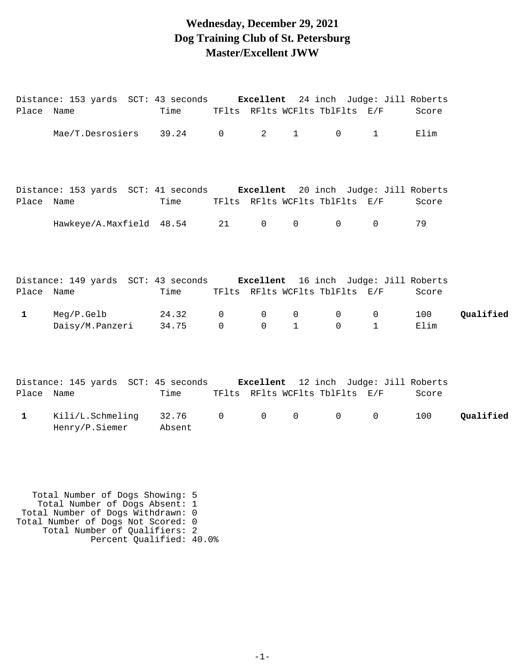#### **Wednesday, December 29, 2021 Dog Training Club of St. Petersburg Master/Excellent JWW**

| Place Name   | Distance: 153 yards SCT: 43 seconds Excellent 24 inch Judge: Jill Roberts        | Time            |                               |                         |                             | TFlts RFlts WCFlts TblFlts E/F |                                | Score       |           |
|--------------|----------------------------------------------------------------------------------|-----------------|-------------------------------|-------------------------|-----------------------------|--------------------------------|--------------------------------|-------------|-----------|
|              | Mae/T.Desrosiers 39.24 0                                                         |                 |                               | $2^{\circ}$             | $1 \qquad \qquad$           | $\overline{0}$                 | $\mathbf{1}$                   | Elim        |           |
| Place Name   | Distance: 153 yards SCT: 41 seconds Excellent 20 inch Judge: Jill Roberts        | Time            |                               |                         |                             | TFlts RFlts WCFlts TblFlts E/F |                                | Score       |           |
|              | Hawkeye/A.Maxfield 48.54 21                                                      |                 |                               | $\overline{0}$          | $\mathbf 0$                 | $\Omega$                       | $\Omega$                       | 79          |           |
| Place Name   | Distance: 149 yards SCT: 43 seconds <b>Excellent</b> 16 inch Judge: Jill Roberts | Time            |                               |                         |                             | TFlts RFlts WCFlts TblFlts E/F |                                | Score       |           |
| $\mathbf{1}$ | Meg/P.Gelb<br>Daisy/M.Panzeri                                                    | 24.32<br>34.75  | $\mathbf 0$<br>$\overline{0}$ | $\mathbf 0$<br>$\Omega$ | $\mathbf 0$<br>$\mathbf{1}$ | $\overline{0}$<br>$\Omega$     | $\overline{0}$<br>$\mathbf{1}$ | 100<br>Elim | Qualified |
| Place Name   | Distance: 145 yards SCT: 45 seconds <b>Excellent</b> 12 inch Judge: Jill Roberts | Time            |                               |                         |                             | TFlts RFlts WCFlts TblFlts E/F |                                | Score       |           |
| $\mathbf{1}$ | Kili/L.Schmeling<br>Henry/P.Siemer                                               | 32.76<br>Absent | $\mathsf{O}$                  | $\mathsf{O}$            | $\mathbf 0$                 | $\mathsf{O}$                   | $\mathbf 0$                    | 100         | Qualified |

 Total Number of Dogs Showing: 5 Total Number of Dogs Absent: 1 Total Number of Dogs Withdrawn: 0 Total Number of Dogs Not Scored: 0 Total Number of Qualifiers: 2 Percent Qualified: 40.0%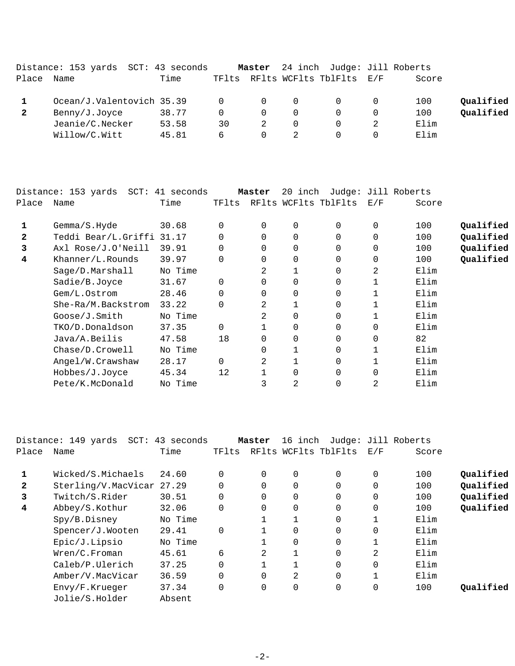|       | Distance: 153 yards SCT: 43 seconds |       |          | Master   |          | 24 inch Judge: Jill Roberts    |       |           |
|-------|-------------------------------------|-------|----------|----------|----------|--------------------------------|-------|-----------|
| Place | Name                                | Time  |          |          |          | TFlts RFlts WCFlts TblFlts E/F | Score |           |
|       | Ocean/J.Valentovich 35.39           |       | $\Omega$ | $\Omega$ | $\Omega$ |                                | 100   | Qualified |
|       | Benny/J.Joyce                       | 38.77 | $\Omega$ | $\Omega$ | $\Omega$ |                                | 100   | Qualified |
|       | Jeanie/C.Necker                     | 53.58 | 30       |          | 0        |                                | Elim  |           |
|       | Willow/C.Witt                       | 45.81 | 6        | $\Omega$ |          |                                | Elim  |           |

|       | Distance: 153 yards SCT: 41 seconds |         |          | Master   | 20 inch  |                      |          | Judge: Jill Roberts |           |
|-------|-------------------------------------|---------|----------|----------|----------|----------------------|----------|---------------------|-----------|
| Place | Name                                | Time    | TFlts    |          |          | RFlts WCFlts TblFlts | E/F      | Score               |           |
| 1     | Gemma/S.Hyde                        | 30.68   | $\Omega$ | $\Omega$ | 0        | $\Omega$             | 0        | 100                 | Qualified |
| 2     | Teddi Bear/L.Griffi 31.17           |         |          |          | $\Omega$ | 0                    | $\Omega$ | 100                 | Qualified |
| 3     | Axl Rose/J.O'Neill                  | 39.91   | 0        | $\Omega$ | 0        | $\Omega$             | $\Omega$ | 100                 | Qualified |
| 4     | Khanner/L.Rounds                    | 39.97   | $\Omega$ |          | $\Omega$ | 0                    | $\Omega$ | 100                 | Qualified |
|       | Sage/D.Marshall                     | No Time |          | 2        |          | 0                    | 2        | Elim                |           |
|       | Sadie/B.Joyce                       | 31.67   | $\Omega$ |          | $\Omega$ | 0                    |          | Elim                |           |
|       | Gem/L.Ostrom                        | 28.46   | 0        |          | 0        | 0                    |          | Elim                |           |
|       | She-Ra/M.Backstrom                  | 33.22   | 0        | 2        |          | 0                    |          | Elim                |           |
|       | Goose/J.Smith                       | No Time |          | 2        | 0        | 0                    | 1        | Elim                |           |
|       | TKO/D.Donaldson                     | 37.35   | $\Omega$ |          | 0        | $\Omega$             | $\Omega$ | Elim                |           |
|       | Java/A.Beilis                       | 47.58   | 18       |          | 0        | 0                    | $\Omega$ | 82                  |           |
|       | Chase/D.Crowell                     | No Time |          |          |          | 0                    |          | Elim                |           |
|       | Angel/W.Crawshaw                    | 28.17   | $\Omega$ | 2        |          | 0                    |          | Elim                |           |
|       | Hobbes/J.Joyce                      | 45.34   | 12       |          | $\Omega$ | 0                    | $\Omega$ | Elim                |           |
|       | Pete/K.McDonald                     | No Time |          | 3        | 2        | 0                    | 2        | Elim                |           |

|              | Distance: 149 yards SCT: 43 seconds |         |          | Master         | 16 inch              | Judge: Jill Roberts |                |       |           |
|--------------|-------------------------------------|---------|----------|----------------|----------------------|---------------------|----------------|-------|-----------|
| Place        | Name                                | Time    | TFlts    |                | RFlts WCFlts TblFlts |                     | E/F            | Score |           |
|              | Wicked/S.Michaels                   | 24.60   | $\Omega$ | $\Omega$       | 0                    | $\Omega$            | 0              | 100   | Qualified |
| $\mathbf{2}$ | Sterling/V.MacVicar 27.29           |         | $\Omega$ |                | $\Omega$             | $\Omega$            | $\Omega$       | 100   | Qualified |
| 3            | Twitch/S.Rider                      | 30.51   | $\Omega$ |                | 0                    | $\Omega$            | 0              | 100   | Qualified |
| 4            | Abbey/S.Kothur                      | 32.06   | $\Omega$ |                | 0                    | $\Omega$            | $\mathbf 0$    | 100   | Qualified |
|              | Spy/B.Disney                        | No Time |          |                |                      | 0                   | 1              | Elim  |           |
|              | Spencer/J.Wooten                    | 29.41   | $\Omega$ |                | $\Omega$             | $\Omega$            | $\Omega$       | Elim  |           |
|              | Epic/J.Lipsio                       | No Time |          |                | 0                    | $\Omega$            | $\mathbf 1$    | Elim  |           |
|              | Wren/C.Froman                       | 45.61   | 6        | $\mathfrak{D}$ |                      | $\Omega$            | $\overline{2}$ | Elim  |           |
|              | Caleb/P.Ulerich                     | 37.25   | $\Omega$ |                |                      | $\Omega$            | $\Omega$       | Elim  |           |
|              | Amber/V.MacVicar                    | 36.59   | $\Omega$ | $\Omega$       | 2                    | $\Omega$            | $\mathbf{1}$   | Elim  |           |
|              | Envy/F.Krueger                      | 37.34   | $\Omega$ | $\Omega$       | 0                    | 0                   | $\mathbf 0$    | 100   | Oualified |
|              | Jolie/S.Holder                      | Absent  |          |                |                      |                     |                |       |           |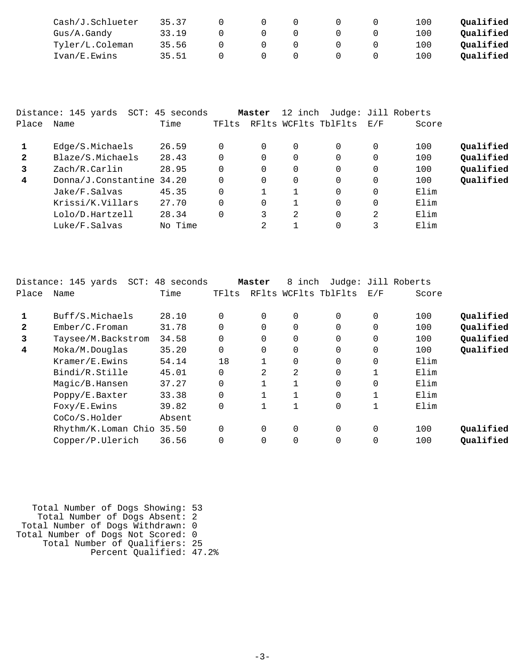| Cash/J.Schlueter | 35.37 |  |  | 100 | Oualified |
|------------------|-------|--|--|-----|-----------|
| Gus/A.Gandy      | 33.19 |  |  | 100 | Oualified |
| Tyler/L.Coleman  | 35.56 |  |  | 100 | Oualified |
| Ivan/E.Ewins     | 35.51 |  |  | 100 | Oualified |

|              | Distance: 145 yards SCT: 45 seconds |         |          | Master   |          | 12 inch Judge: Jill Roberts |          |       |           |
|--------------|-------------------------------------|---------|----------|----------|----------|-----------------------------|----------|-------|-----------|
| Place        | Name                                | Time    | TFlts    |          |          | RFlts WCFlts TblFlts        | E/F      | Score |           |
|              | Edge/S.Michaels                     | 26.59   | 0        | 0        | $\Omega$ | 0                           | $\Omega$ | 100   | Qualified |
| $\mathbf{2}$ | Blaze/S.Michaels                    | 28.43   | $\Omega$ | $\Omega$ | $\Omega$ | 0                           | 0        | 100   | Qualified |
| 3            | Zach/R.Carlin                       | 28.95   | $\Omega$ | 0        | $\Omega$ | $\Omega$                    | $\Omega$ | 100   | Qualified |
| 4            | Donna/J.Constantine 34.20           |         | 0        | 0        | $\Omega$ | $\Omega$                    | 0        | 100   | Qualified |
|              | Jake/F.Salvas                       | 45.35   | $\Omega$ |          |          | $\Omega$                    | 0        | Elim  |           |
|              | Krissi/K.Villars                    | 27.70   | 0        | 0        |          | $\Omega$                    | $\Omega$ | Elim  |           |
|              | Lolo/D.Hartzell                     | 28.34   | 0        | 3        | 2        | $\Omega$                    | 2        | Elim  |           |
|              | Luke/F.Salvas                       | No Time |          | 2        |          | $\Omega$                    | 3        | Elim  |           |

|              | Distance: 145 yards<br>$SCT$ : | 48 seconds |              | Master   | 8 inch |                      |          | Judge: Jill Roberts |           |
|--------------|--------------------------------|------------|--------------|----------|--------|----------------------|----------|---------------------|-----------|
| Place        | Name                           | Time       | TFlts        |          |        | RFlts WCFlts TblFlts | E/F      | Score               |           |
| 1            | Buff/S.Michaels                | 28.10      | $\Omega$     | $\Omega$ | 0      | $\Omega$             | 0        | 100                 | Qualified |
| $\mathbf{2}$ | Ember/C.Froman                 | 31.78      | $\Omega$     | $\Omega$ | 0      | $\mathbf 0$          | 0        | 100                 | Qualified |
| 3            | Taysee/M.Backstrom             | 34.58      | $\Omega$     | $\Omega$ | 0      | $\Omega$             | $\Omega$ | 100                 | Qualified |
| 4            | Moka/M.Douglas                 | 35.20      | $\Omega$     | 0        | 0      | 0                    | 0        | 100                 | Qualified |
|              | Kramer/E.Ewins                 | 54.14      | 18           |          | 0      | $\Omega$             | 0        | Elim                |           |
|              | Bindi/R.Stille                 | 45.01      | $\mathbf{0}$ | 2        | 2      | 0                    |          | Elim                |           |
|              | Magic/B.Hansen                 | 37.27      | $\Omega$     |          |        | $\Omega$             | 0        | Elim                |           |
|              | Poppy/E.Baxter                 | 33.38      | $\Omega$     |          |        | $\Omega$             |          | Elim                |           |
|              | Foxy/E.Ewins                   | 39.82      | $\mathbf 0$  |          |        | $\overline{0}$       |          | Elim                |           |
|              | CoCo/S.Holder                  | Absent     |              |          |        |                      |          |                     |           |
|              | Rhythm/K.Loman Chio 35.50      |            | $\Omega$     | $\Omega$ | 0      | $\Omega$             | $\Omega$ | 100                 | Qualified |
|              | Copper/P.Ulerich               | 36.56      | $\Omega$     | $\Omega$ | 0      | $\Omega$             | $\Omega$ | 100                 | Qualified |
|              |                                |            |              |          |        |                      |          |                     |           |

 Total Number of Dogs Showing: 53 Total Number of Dogs Absent: 2 Total Number of Dogs Withdrawn: 0 Total Number of Dogs Not Scored: 0 Total Number of Qualifiers: 25 Percent Qualified: 47.2%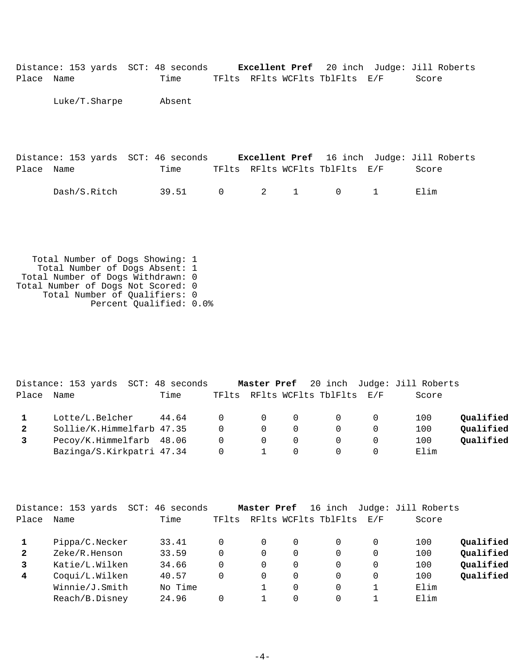| Place Name | Distance: 153 yards SCT: 48 seconds | Time   |                | TFlts RFlts WCFlts TblFlts E/F                    |   |              | <b>Excellent Pref</b> 20 inch Judge: Jill Roberts<br>Score |
|------------|-------------------------------------|--------|----------------|---------------------------------------------------|---|--------------|------------------------------------------------------------|
|            | Luke/T.Sharpe                       | Absent |                |                                                   |   |              |                                                            |
|            |                                     |        |                |                                                   |   |              |                                                            |
| Place Name | Distance: 153 yards SCT: 46 seconds | Time   |                | TFlts RFlts WCFlts TblFlts E/F                    |   |              | <b>Excellent Pref</b> 16 inch Judge: Jill Roberts<br>Score |
|            | Dash/S.Ritch                        | 39.51  | $\overline{0}$ | $\overline{2}$ and $\overline{2}$<br>$\mathbf{1}$ | 0 | $\mathbf{1}$ | Elim                                                       |

 Total Number of Dogs Showing: 1 Total Number of Dogs Absent: 1 Total Number of Dogs Withdrawn: 0 Total Number of Dogs Not Scored: 0 Total Number of Qualifiers: 0 Percent Qualified: 0.0%

|              | Distance: 153 yards SCT: 48 seconds |       |          |                                         |   |                                |     | Master Pref 20 inch Judge: Jill Roberts |           |
|--------------|-------------------------------------|-------|----------|-----------------------------------------|---|--------------------------------|-----|-----------------------------------------|-----------|
| Place        | Name                                | Time  |          |                                         |   | TFlts RFlts WCFlts TblFlts E/F |     | Score                                   |           |
|              | Lotte/L.Belcher                     | 44.64 |          | $\begin{matrix} 0 & 0 & 0 \end{matrix}$ |   | $\overline{0}$                 | - 0 | 100                                     | Qualified |
| $\mathbf{2}$ | Sollie/K.Himmelfarb 47.35           |       | $\Omega$ | $\Omega$                                |   | $\Omega$                       |     | 100                                     | Qualified |
|              | Pecoy/K.Himmelfarb 48.06            |       | $\Omega$ | $\Omega$                                | 0 | $\bigcap$                      |     | 100                                     | Qualified |
|              | Bazinga/S.Kirkpatri 47.34           |       |          |                                         |   |                                |     | Elim                                    |           |

|              | Distance: 153 yards<br>$SCT$ : | 46 seconds |       | Master Pref |          | 16 inch              |             | Judge: Jill Roberts |           |
|--------------|--------------------------------|------------|-------|-------------|----------|----------------------|-------------|---------------------|-----------|
| Place        | Name                           | Time       | TFlts |             |          | RFlts WCFlts TblFlts | $\rm E$ / F | Score               |           |
|              | Pippa/C.Necker                 | 33.41      | 0     | 0           | $\Omega$ |                      | 0           | 100                 | Qualified |
| $\mathbf{2}$ | Zeke/R.Henson                  | 33.59      | 0     | 0           | 0        |                      | 0           | 100                 | Qualified |
|              | Katie/L.Wilken                 | 34.66      | 0     | 0           | 0        |                      | 0           | 100                 | Qualified |
| 4            | Coqui/L.Wilken                 | 40.57      | 0     | 0           | 0        |                      | 0           | 100                 | Qualified |
|              | Winnie/J.Smith                 | No Time    |       |             | $\Omega$ |                      |             | Elim                |           |
|              | Reach/B.Disney                 | 24.96      |       |             | $\Omega$ |                      |             | Elim                |           |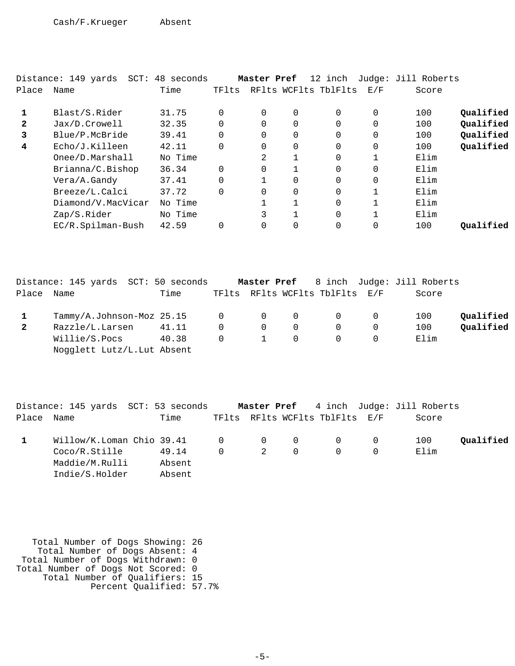|              | Distance: 149 yards SCT: 48 seconds |         |          | Master Pref |              | 12 inch              |          | Judge: Jill Roberts |           |
|--------------|-------------------------------------|---------|----------|-------------|--------------|----------------------|----------|---------------------|-----------|
| Place        | Name                                | Time    | TFlts    |             |              | RFlts WCFlts TblFlts | E/F      | Score               |           |
|              |                                     |         |          |             |              |                      |          |                     |           |
|              | Blast/S.Rider                       | 31.75   | $\Omega$ | 0           | 0            | $\Omega$             | 0        | 100                 | Qualified |
| $\mathbf{2}$ | Jax/D.Crowell                       | 32.35   | $\Omega$ | $\Omega$    | $\Omega$     | $\Omega$             | $\Omega$ | 100                 | Qualified |
| 3            | Blue/P.McBride                      | 39.41   | $\Omega$ | $\Omega$    | $\Omega$     | $\Omega$             | 0        | 100                 | Qualified |
| 4            | Echo/J.Killeen                      | 42.11   | $\Omega$ | $\Omega$    | 0            | $\Omega$             | 0        | 100                 | Qualified |
|              | Onee/D.Marshall                     | No Time |          | 2           | $\mathbf{1}$ | $\Omega$             |          | Elim                |           |
|              | Brianna/C.Bishop                    | 36.34   | $\Omega$ | $\Omega$    |              | $\Omega$             | 0        | Elim                |           |
|              | Vera/A.Gandy                        | 37.41   | $\Omega$ |             | $\Omega$     | $\Omega$             | 0        | Elim                |           |
|              | Breeze/L.Calci                      | 37.72   | $\Omega$ | $\Omega$    | $\Omega$     | $\Omega$             |          | Elim                |           |
|              | Diamond/V.MacVicar                  | No Time |          |             | $\mathbf{1}$ | $\Omega$             |          | Elim                |           |
|              | Zap/S.Rider                         | No Time |          | 3           |              | $\Omega$             |          | Elim                |           |
|              | EC/R.Spilman-Bush                   | 42.59   |          | $\Omega$    | $\Omega$     | $\Omega$             |          | 100                 | Qualified |

|       | Distance: 145 yards SCT: 50 seconds |       |                |                |                |                                |          | Master Pref 8 inch Judge: Jill Roberts |           |
|-------|-------------------------------------|-------|----------------|----------------|----------------|--------------------------------|----------|----------------------------------------|-----------|
| Place | Name                                | Time  |                |                |                | TFlts RFlts WCFlts TblFlts E/F |          | Score                                  |           |
|       | Tammy/A.Johnson-Moz 25.15           |       | $\overline{0}$ | $\overline{0}$ | $\overline{0}$ |                                |          | 100                                    | Oualified |
| 2     | Razzle/L.Larsen                     | 41.11 | $\Omega$       | $\overline{0}$ | $\Omega$       |                                | $\Omega$ | 100                                    | Qualified |
|       | Willie/S.Pocs                       | 40.38 | $\Omega$       |                | $\Omega$       |                                |          | Elim                                   |           |
|       | Nogglett Lutz/L.Lut Absent          |       |                |                |                |                                |          |                                        |           |

|            | Distance: 145 yards SCT: 53 seconds                                                    |        |           |   |          |                                | Master Pref 4 inch Judge: Jill Roberts |           |
|------------|----------------------------------------------------------------------------------------|--------|-----------|---|----------|--------------------------------|----------------------------------------|-----------|
| Place Name |                                                                                        | Time   |           |   |          | TFlts RFlts WCFlts TblFlts E/F | Score                                  |           |
|            | $\texttt{Willow/K.Loman}$ Chio 39.41 $\qquad \qquad 0 \qquad \qquad 0 \qquad \qquad 0$ |        |           |   |          |                                | 100                                    | Qualified |
|            | Coco/R.Stille                                                                          | 49.14  | $\bigcap$ | 2 | $\Omega$ | $\Omega$                       | Elim                                   |           |
|            | Maddie/M.Rulli                                                                         | Absent |           |   |          |                                |                                        |           |
|            | Indie/S.Holder                                                                         | Absent |           |   |          |                                |                                        |           |

| Total Number of Dogs Showing: 26   |  |
|------------------------------------|--|
| Total Number of Dogs Absent: 4     |  |
| Total Number of Dogs Withdrawn: 0  |  |
| Total Number of Dogs Not Scored: 0 |  |
| Total Number of Qualifiers: 15     |  |
| Percent Qualified: 57.7%           |  |
|                                    |  |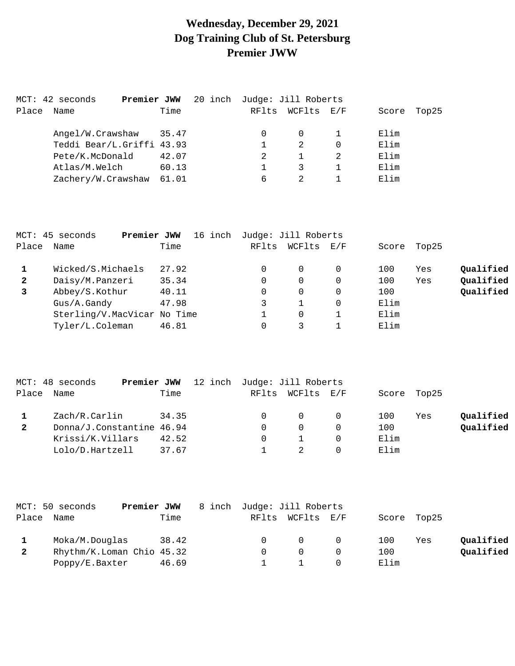# **Wednesday, December 29, 2021 Dog Training Club of St. Petersburg Premier JWW**

| Name             | Time                     |                                                                         | RFlts |         | Score                             | Top25 |
|------------------|--------------------------|-------------------------------------------------------------------------|-------|---------|-----------------------------------|-------|
| Angel/W.Crawshaw |                          |                                                                         | 0     | 0       | Elim                              |       |
|                  |                          |                                                                         |       | 2       | Elim                              |       |
| Pete/K.McDonald  | 42.07                    |                                                                         |       |         | Elim                              |       |
| Atlas/M.Welch    | 60.13                    |                                                                         |       |         | Elim                              |       |
|                  | 61.01                    |                                                                         | 6     |         | Elim                              |       |
|                  | MCT: 42 seconds<br>Place | Premier JWW<br>35.47<br>Teddi Bear/L.Griffi 43.93<br>Zachery/W.Crawshaw |       | 20 inch | Judge: Jill Roberts<br>WCFlts E/F |       |

|              | MCT: 45 seconds<br>Premier JWW | 16 inch | Judge: Jill Roberts |          |     |       |       |           |
|--------------|--------------------------------|---------|---------------------|----------|-----|-------|-------|-----------|
| Place        | Name                           | Time    | RFlts               | WCFlts   | E/F | Score | Top25 |           |
|              | Wicked/S.Michaels              | 27.92   |                     | $\Omega$ |     | 100   | Yes   | Qualified |
| $\mathbf{2}$ | Daisy/M.Panzeri                | 35.34   | 0                   | $\Omega$ |     | 100   | Yes   | Qualified |
| 3            | Abbey/S.Kothur                 | 40.11   | 0                   | $\Omega$ |     | 100   |       | Qualified |
|              | Gus/A.Gandy                    | 47.98   |                     |          |     | Elim  |       |           |
|              | Sterling/V.MacVicar No Time    |         |                     | $\Omega$ |     | Elim  |       |           |
|              | Tyler/L.Coleman                | 46.81   |                     |          |     | Elim  |       |           |

|              | MCT: 48 seconds<br>Premier JWW | 12 inch Judge: Jill Roberts |                  |             |     |           |
|--------------|--------------------------------|-----------------------------|------------------|-------------|-----|-----------|
| Place        | Name                           | Time                        | RFlts WCFlts E/F | Score Top25 |     |           |
|              | Zach/R.Carlin                  | 34.35                       | $\overline{0}$   | 100         | Yes | Qualified |
| $\mathbf{2}$ | Donna/J.Constantine 46.94      |                             | $\Omega$         | 100         |     | Qualified |
|              | Krissi/K.Villars               | 42.52                       |                  | Elim        |     |           |
|              | Lolo/D.Hartzell                | 37.67                       |                  | Elim        |     |           |

|       | MCT: 50 seconds<br>Premier JWW |       | 8 inch Judge: Jill Roberts |                  |     |             |     |           |
|-------|--------------------------------|-------|----------------------------|------------------|-----|-------------|-----|-----------|
| Place | Name                           | Time  |                            | RFlts WCFlts E/F |     | Score Top25 |     |           |
|       | Moka/M.Douglas                 | 38.42 |                            |                  | - 0 | 100         | Yes | Oualified |
|       | Rhythm/K.Loman Chio 45.32      |       |                            |                  |     | 100         |     | Qualified |
|       | Poppy/E.Baxter                 | 46.69 |                            |                  |     | Elim        |     |           |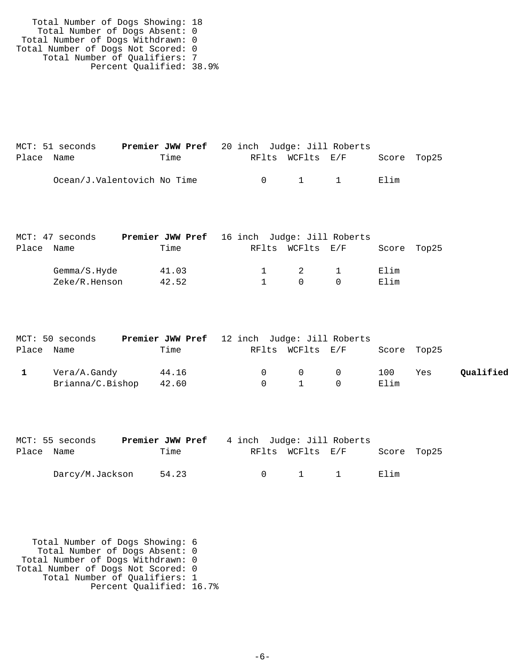Total Number of Dogs Showing: 18 Total Number of Dogs Absent: 0 Total Number of Dogs Withdrawn: 0 Total Number of Dogs Not Scored: 0 Total Number of Qualifiers: 7 Percent Qualified: 38.9%

|            | MCT: 51 seconds             | <b>Premier JWW Pref</b> 20 inch Judge: Jill Roberts |        |                  |             |  |
|------------|-----------------------------|-----------------------------------------------------|--------|------------------|-------------|--|
| Place Name |                             | Time                                                |        | RFlts WCFlts E/F | Score Top25 |  |
|            | Ocean/J.Valentovich No Time |                                                     | $\cap$ | $1 \quad 1$      | Elim        |  |

|       | MCT: 47 seconds | <b>Premier JWW Pref</b> 16 inch Judge: Jill Roberts |  |                  |          |             |  |
|-------|-----------------|-----------------------------------------------------|--|------------------|----------|-------------|--|
| Place | Name            | Time                                                |  | RFlts WCFlts E/F |          | Score Top25 |  |
|       | Gemma/S.Hyde    | 41.03                                               |  | $\overline{2}$   | $\sim$ 1 | Elim        |  |
|       | Zeke/R.Henson   | 42.52                                               |  | $\cap$           |          | Elim        |  |

| MCT: 50 seconds  | <b>Premier JWW Pref</b> 12 inch Judge: Jill Roberts |          |                                        |           |             |     |           |
|------------------|-----------------------------------------------------|----------|----------------------------------------|-----------|-------------|-----|-----------|
| Place Name       | Time                                                |          | RFlts WCFlts E/F                       |           | Score Top25 |     |           |
| Vera/A.Gandy     | 44.16                                               | $\Omega$ | $\begin{matrix} 0 & 0 \end{matrix}$    |           | 100         | Yes | Qualified |
| Brianna/C.Bishop | 42.60                                               |          | $\begin{array}{ccc} 0 & 1 \end{array}$ | $\bigcap$ | Elim        |     |           |

|            | MCT: 55 seconds | <b>Premier JWW Pref</b> 4 inch Judge: Jill Roberts |  |                       |             |  |
|------------|-----------------|----------------------------------------------------|--|-----------------------|-------------|--|
| Place Name |                 | Time                                               |  | RFlts WCFlts E/F      | Score Top25 |  |
|            | Darcy/M.Jackson | 54.23                                              |  | $0 \qquad 1 \qquad 1$ | Elim        |  |

 Total Number of Dogs Showing: 6 Total Number of Dogs Absent: 0 Total Number of Dogs Withdrawn: 0 Total Number of Dogs Not Scored: 0 Total Number of Qualifiers: 1 Percent Qualified: 16.7%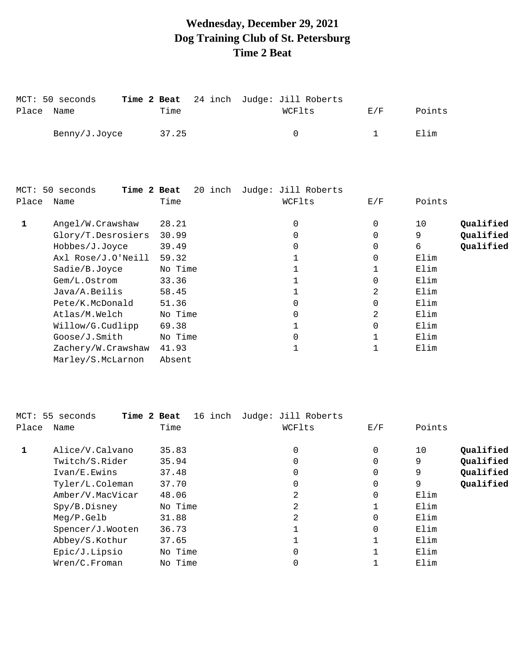# **Wednesday, December 29, 2021 Dog Training Club of St. Petersburg Time 2 Beat**

|            | MCT: 50 seconds |       | <b>Time 2 Beat</b> 24 inch Judge: Jill Roberts |     |        |
|------------|-----------------|-------|------------------------------------------------|-----|--------|
| Place Name |                 | Time  | WCFlts                                         | E/F | Points |
|            | Benny/J.Joyce   | 37.25 |                                                |     | Elim   |

|       | MCT: 50 seconds<br>Time 2 Beat | 20 inch | Judge: Jill Roberts |          |                 |
|-------|--------------------------------|---------|---------------------|----------|-----------------|
| Place | Name                           | Time    | WCFlts              | E/F      | Points          |
|       | Angel/W.Crawshaw               | 28.21   | 0                   | 0        | Qualified<br>10 |
|       | Glory/T.Desrosiers             | 30.99   | 0                   | $\Omega$ | Qualified<br>9  |
|       | Hobbes/J.Joyce                 | 39.49   |                     | 0        | Qualified<br>б. |
|       | Axl Rose/J.O'Neill             | 59.32   |                     | 0        | Elim            |
|       | Sadie/B.Joyce                  | No Time |                     |          | Elim            |
|       | Gem/L.Ostrom                   | 33.36   |                     | 0        | Elim            |
|       | Java/A.Beilis                  | 58.45   |                     | 2        | Elim            |
|       | Pete/K.McDonald                | 51.36   |                     | $\Omega$ | Elim            |
|       | Atlas/M.Welch                  | No Time | 0                   | 2        | Elim            |
|       | Willow/G.Cudlipp               | 69.38   |                     | $\Omega$ | Elim            |
|       | Goose/J.Smith                  | No Time | 0                   |          | Elim            |
|       | Zachery/W.Crawshaw             | 41.93   |                     |          | Elim            |
|       | Marley/S.McLarnon              | Absent  |                     |          |                 |

|              | MCT: 55 seconds<br>Time 2 Beat | 16 inch | Judge: Jill Roberts |     |                 |
|--------------|--------------------------------|---------|---------------------|-----|-----------------|
| Place        | Name                           | Time    | WCFlts              | E/F | Points          |
| $\mathbf{1}$ | Alice/V.Calvano                | 35.83   | 0                   | 0   | Qualified<br>10 |
|              | Twitch/S.Rider                 | 35.94   | 0                   | 0   | Oualified<br>9  |
|              | Ivan/E.Ewins                   | 37.48   | 0                   | 0   | Qualified<br>9  |
|              | Tyler/L.Coleman                | 37.70   | 0                   | 0   | Qualified<br>9  |
|              | Amber/V.MacVicar               | 48.06   | 2                   | 0   | Elim            |
|              | Spy/B.Disney                   | No Time | 2                   |     | Elim            |
|              | $Meq/P$ . Gelb                 | 31.88   | 2                   | 0   | Elim            |
|              | Spencer/J.Wooten               | 36.73   |                     | 0   | Elim            |
|              | Abbey/S.Kothur                 | 37.65   |                     |     | Elim            |
|              | Epic/J.Lipsio                  | No Time | 0                   |     | Elim            |
|              | Wren/C.Froman                  | No Time |                     |     | Elim            |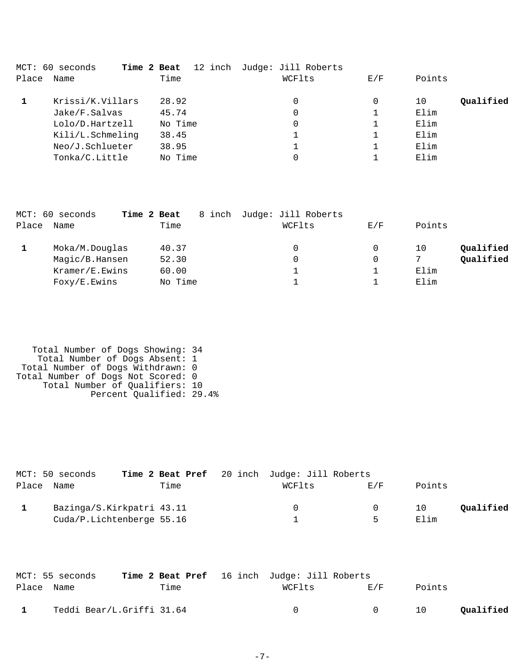|       | MCT: 60 seconds<br>Time 2 Beat |         | 12 inch Judge: Jill Roberts |     |                 |
|-------|--------------------------------|---------|-----------------------------|-----|-----------------|
| Place | Name                           | Time    | WCFlts                      | E/F | Points          |
|       | Krissi/K.Villars               | 28.92   | 0                           |     | Oualified<br>10 |
|       | Jake/F.Salvas                  | 45.74   | 0                           |     | Elim            |
|       | Lolo/D.Hartzell                | No Time | 0                           |     | Elim            |
|       | Kili/L.Schmeling               | 38.45   |                             |     | Elim            |
|       | Neo/J.Schlueter                | 38.95   |                             |     | Elim            |
|       | Tonka/C.Little                 | No Time | 0                           |     | Elim            |
|       |                                |         |                             |     |                 |

|       | MCT: 60 seconds | Time 2 Beat | 8 inch | Judge: Jill Roberts |     |        |           |
|-------|-----------------|-------------|--------|---------------------|-----|--------|-----------|
| Place | Name            | Time        |        | WCFlts              | E/F | Points |           |
|       | Moka/M.Douglas  | 40.37       |        | 0                   |     | 10     | Qualified |
|       | Magic/B.Hansen  | 52.30       |        | 0                   |     | 7      | Qualified |
|       | Kramer/E.Ewins  | 60.00       |        |                     |     | Elim   |           |
|       | Foxy/E.Ewins    | No Time     |        |                     |     | Elim   |           |

```
 Total Number of Dogs Showing: 34
 Total Number of Dogs Absent: 1
 Total Number of Dogs Withdrawn: 0
Total Number of Dogs Not Scored: 0
 Total Number of Qualifiers: 10
 Percent Qualified: 29.4%
```

|            | MCT: 50 seconds           |      | Time 2 Beat Pref 20 inch Judge: Jill Roberts |     |        |           |
|------------|---------------------------|------|----------------------------------------------|-----|--------|-----------|
| Place Name |                           | Time | WCFlts                                       | E/F | Points |           |
|            | Bazinga/S.Kirkpatri 43.11 |      |                                              | - 0 | 10     | Oualified |
|            | Cuda/P.Lichtenberge 55.16 |      |                                              | ь   | Elim   |           |

|            | MCT: 55 seconds           |      | Time 2 Beat Pref 16 inch Judge: Jill Roberts |                |        |           |
|------------|---------------------------|------|----------------------------------------------|----------------|--------|-----------|
| Place Name |                           | Time | WCFlts                                       | E/F            | Points |           |
|            | Teddi Bear/L.Griffi 31.64 |      | $\cap$                                       | $\overline{0}$ | 10     | Qualified |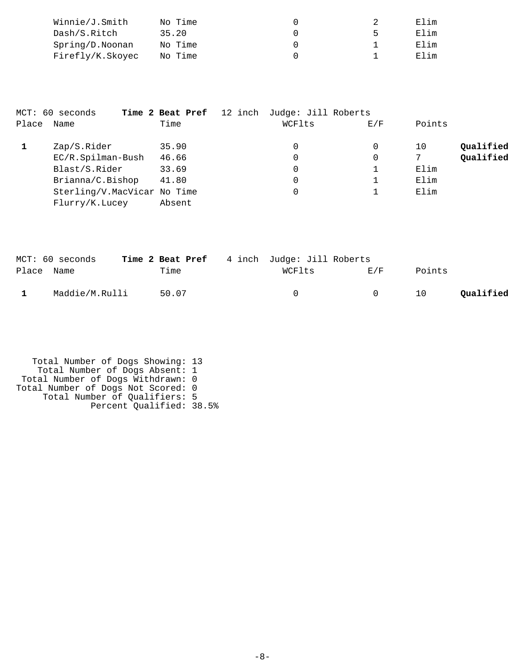| Winnie/J.Smith   | No Time |  | Flim   |
|------------------|---------|--|--------|
| Dash/S.Ritch     | 35.20   |  | F. lim |
| Spring/D.Noonan  | No Time |  | Elim   |
| Firefly/K.Skoyec | No Time |  | Flim   |

|       | MCT: 60 seconds             | Time 2 Beat Pref 12 inch Judge: Jill Roberts |        |             |        |           |
|-------|-----------------------------|----------------------------------------------|--------|-------------|--------|-----------|
| Place | Name                        | Time                                         | WCFlts | E/F         | Points |           |
|       | Zap/S.Rider                 | 35.90                                        | 0      | 0           | 10     | Qualified |
|       | EC/R.Spilman-Bush           | 46.66                                        | 0      | $\mathbf 0$ |        | Qualified |
|       | Blast/S.Rider               | 33.69                                        | 0      |             | Elim   |           |
|       | Brianna/C.Bishop            | 41.80                                        | 0      |             | Elim   |           |
|       | Sterling/V.MacVicar No Time |                                              | 0      |             | Elim   |           |
|       | Flurry/K.Lucey              | Absent                                       |        |             |        |           |

|              | MCT: 60 seconds | Time 2 Beat Pref 4 inch Judge: Jill Roberts |          |                |        |           |
|--------------|-----------------|---------------------------------------------|----------|----------------|--------|-----------|
| Place Name   |                 | Time                                        | WCFlts   | E/F            | Points |           |
| $\mathbf{1}$ | Maddie/M.Rulli  | 50.07                                       | $\Omega$ | $\overline{0}$ | 10     | Qualified |

```
 Total Number of Dogs Showing: 13
 Total Number of Dogs Absent: 1
 Total Number of Dogs Withdrawn: 0
Total Number of Dogs Not Scored: 0
 Total Number of Qualifiers: 5
 Percent Qualified: 38.5%
```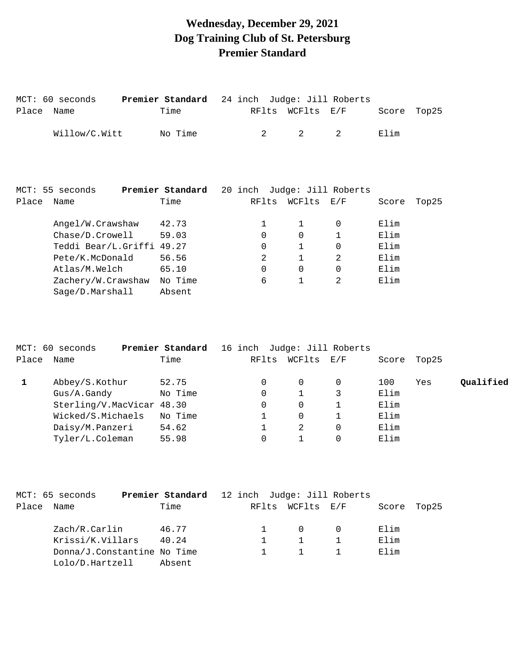# **Wednesday, December 29, 2021 Dog Training Club of St. Petersburg Premier Standard**

| Place | MCT: 60 seconds<br>Name | Premier Standard<br>Time | 24 inch Judge: Jill Roberts<br>RFlts | WCFlts | $\rm E$ / $\rm F$   | Score | Top25 |
|-------|-------------------------|--------------------------|--------------------------------------|--------|---------------------|-------|-------|
|       | Willow/C.Witt           | No Time                  | 2                                    | 2      | 2                   | Elim  |       |
|       |                         |                          |                                      |        |                     |       |       |
|       |                         |                          |                                      |        |                     |       |       |
|       | MCT: 55 seconds         | Premier Standard         | 20 inch                              |        | Judge: Jill Roberts |       |       |
| Place | Name                    | Time                     | RFlts                                | WCFlts | E/F                 | Score | Top25 |
|       | Angel/W.Crawshaw        | 42.73                    | $\mathbf{1}$                         | 1      | $\Omega$            | Elim  |       |
|       | Chase/D.Crowell         | 59.03                    | $\Omega$                             | 0      | 1                   | Elim  |       |
|       | Teddi Bear/L.Griffi     | 49.27                    | $\Omega$                             | 1      | $\Omega$            | Elim  |       |
|       | Pete/K.McDonald         | 56.56                    | 2                                    | 1      | 2                   | Elim  |       |
|       | Atlas/M.Welch           | 65.10                    | $\Omega$                             | 0      | $\Omega$            | Elim  |       |
|       | Zachery/W.Crawshaw      | No Time                  | 6                                    | 1      | 2                   | Elim  |       |
|       | Sage/D.Marshall         | Absent                   |                                      |        |                     |       |       |

|       | MCT: 60 seconds           | Premier Standard |       |        | 16 inch Judge: Jill Roberts |       |       |           |
|-------|---------------------------|------------------|-------|--------|-----------------------------|-------|-------|-----------|
| Place | Name                      | Time             | RFlts | WCFlts | E/F                         | Score | Top25 |           |
|       | Abbey/S.Kothur            | 52.75            |       | 0      | $\Omega$                    | 100   | Yes   | Qualified |
|       | Gus/A.Gandy               | No Time          |       |        |                             | Elim  |       |           |
|       | Sterling/V.MacVicar 48.30 |                  |       | 0      |                             | Elim  |       |           |
|       | Wicked/S.Michaels         | No Time          |       | 0      |                             | Elim  |       |           |
|       | Daisy/M.Panzeri           | 54.62            |       |        | 0                           | Elim  |       |           |
|       | Tyler/L.Coleman           | 55.98            |       |        |                             | Elim  |       |           |

|            | MCT: 65 seconds             | Premier Standard 12 inch Judge: Jill Roberts |  |                  |       |       |
|------------|-----------------------------|----------------------------------------------|--|------------------|-------|-------|
| Place Name |                             | Time                                         |  | RFlts WCFlts E/F | Score | Top25 |
|            | Zach/R.Carlin               | 46.77                                        |  | $\Omega$         | Elim  |       |
|            | Krissi/K.Villars            | 40.24                                        |  |                  | Elim  |       |
|            | Donna/J.Constantine No Time |                                              |  |                  | Elim  |       |
|            | Lolo/D.Hartzell             | Absent                                       |  |                  |       |       |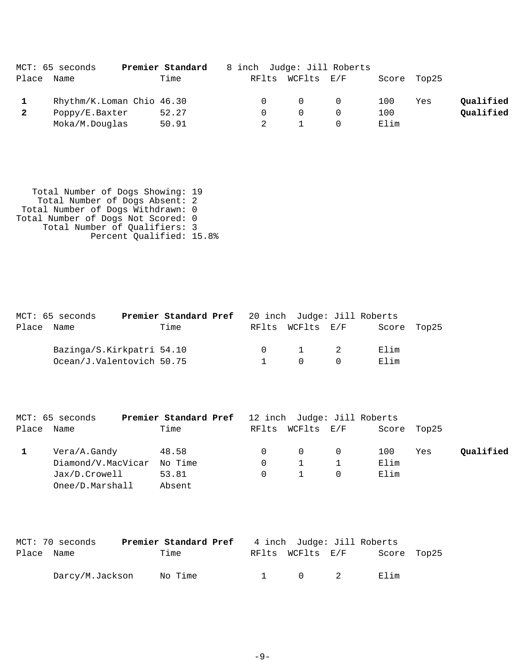|              | MCT: 65 seconds | Premier Standard          | 8 inch Judge: Jill Roberts |            |                |      |             |           |
|--------------|-----------------|---------------------------|----------------------------|------------|----------------|------|-------------|-----------|
| Place        | Name            | Time                      | RFlts                      | WCFlts E/F |                |      | Score Top25 |           |
|              |                 | Rhythm/K.Loman Chio 46.30 | $\Omega$                   | $\Omega$   | $\overline{0}$ | 100  | Yes         | Qualified |
| $\mathbf{2}$ | Poppy/E.Baxter  | 52.27                     |                            |            |                | 100  |             | Qualified |
|              | Moka/M.Douglas  | 50.91                     |                            |            |                | Elim |             |           |

| Total Number of Dogs Showing: 19   |
|------------------------------------|
| Total Number of Dogs Absent: 2     |
| Total Number of Dogs Withdrawn: 0  |
| Total Number of Dogs Not Scored: 0 |
| Total Number of Qualifiers: 3      |
| Percent Qualified: 15.8%           |
|                                    |

| MCT: 65 seconds           | <b>Premier Standard Pref</b> 20 inch Judge: Jill Roberts |  |                       |             |  |
|---------------------------|----------------------------------------------------------|--|-----------------------|-------------|--|
| Place Name                | Time                                                     |  | RFlts WCFlts E/F      | Score Top25 |  |
| Bazinga/S.Kirkpatri 54.10 |                                                          |  | $0 \qquad 1 \qquad 2$ | Elim        |  |
| Ocean/J.Valentovich 50.75 |                                                          |  | $\bigcap$             | Elim        |  |

|            | MCT: 65 seconds    | Premier Standard Pref |          |                  | 12 inch Judge: Jill Roberts |      |             |           |
|------------|--------------------|-----------------------|----------|------------------|-----------------------------|------|-------------|-----------|
| Place Name |                    | Time                  |          | RFlts WCFlts E/F |                             |      | Score Top25 |           |
|            | Vera/A.Gandy       | 48.58                 |          | $\Omega$         |                             | 100  | Yes         | Qualified |
|            | Diamond/V.MacVicar | No Time               |          |                  |                             | Elim |             |           |
|            | Jax/D.Crowell      | 53.81                 | $\Omega$ | $\sim$           |                             | Elim |             |           |
|            | Onee/D.Marshall    | Absent                |          |                  |                             |      |             |           |

|            | MCT: 70 seconds | Premier Standard Pref |  |                       | 4 inch Judge: Jill Roberts |  |
|------------|-----------------|-----------------------|--|-----------------------|----------------------------|--|
| Place Name |                 | Time                  |  | RFlts WCFlts E/F      | Score Top25                |  |
|            | Darcy/M.Jackson | No Time               |  | $1 \qquad 0 \qquad 2$ | Filim                      |  |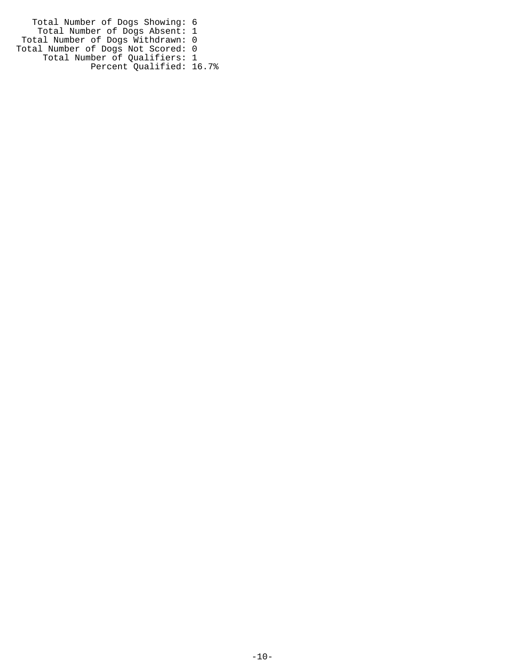Total Number of Dogs Showing: 6 Total Number of Dogs Absent: 1 Total Number of Dogs Withdrawn: 0 Total Number of Dogs Not Scored: 0 Total Number of Qualifiers: 1 Percent Qualified: 16.7%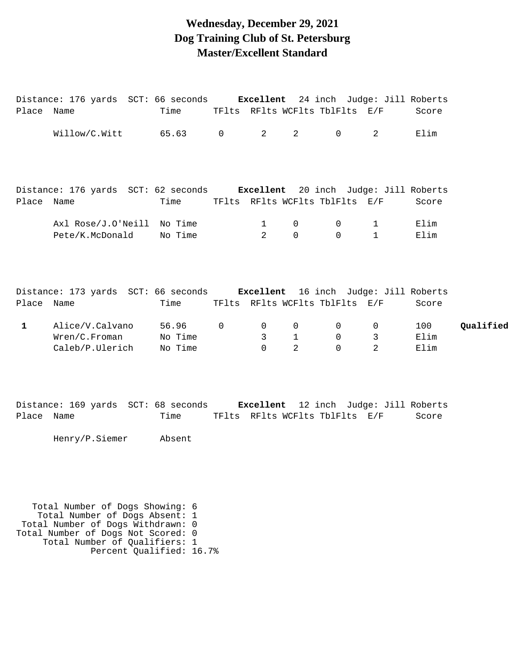#### **Wednesday, December 29, 2021 Dog Training Club of St. Petersburg Master/Excellent Standard**

| Place Name   | Distance: 176 yards SCT: 66 seconds <b>Excellent</b> 24 inch Judge: Jill Roberts | Time TFlts RFlts WCFlts TblFlts E/F |          |                                                       |                                            |                                              |                                                    | Score               |           |
|--------------|----------------------------------------------------------------------------------|-------------------------------------|----------|-------------------------------------------------------|--------------------------------------------|----------------------------------------------|----------------------------------------------------|---------------------|-----------|
|              | $\texttt{Willow/C.Witt}$ 65.63 0 2                                               |                                     |          |                                                       | $\overline{2}$                             | $\Omega$                                     | $2^{\circ}$                                        | Elim                |           |
| Place Name   | Distance: 176 yards SCT: 62 seconds <b>Excellent</b> 20 inch Judge: Jill Roberts | Time                                |          |                                                       |                                            | TFlts RFlts WCFlts TblFlts E/F               |                                                    | Score               |           |
|              | Axl Rose/J.O'Neill No Time<br>Pete/K.McDonald No Time                            |                                     |          | $\mathbf{1}$<br>$\overline{2}$                        | $\overline{0}$<br>$\Omega$                 | $\overline{0}$<br>$\Omega$                   | $1 \quad \blacksquare$<br>$1 \quad \blacksquare$   | Elim<br>Elim        |           |
| Place Name   | Distance: 173 yards SCT: 66 seconds <b>Excellent</b> 16 inch Judge: Jill Roberts | Time TFlts RFlts WCFlts TblFlts E/F |          |                                                       |                                            |                                              |                                                    | Score               |           |
| $\mathbf{1}$ | Alice/V.Calvano 56.96<br>Wren/C.Froman No Time<br>Caleb/P.Ulerich No Time        |                                     | $\Omega$ | $\overline{0}$<br>$\overline{\mathbf{3}}$<br>$\Omega$ | $\overline{0}$<br>$1 \quad$<br>$2^{\circ}$ | $\overline{0}$<br>$\overline{0}$<br>$\Omega$ | $\overline{0}$<br>3 <sup>7</sup><br>$\overline{2}$ | 100<br>Elim<br>Elim | Qualified |
| Place Name   | Distance: 169 yards SCT: 68 seconds <b>Excellent</b> 12 inch Judge: Jill Roberts | Time TFlts RFlts WCFlts TblFlts E/F |          |                                                       |                                            |                                              |                                                    | Score               |           |
|              | Henry/P.Siemer Absent                                                            |                                     |          |                                                       |                                            |                                              |                                                    |                     |           |

 Total Number of Dogs Showing: 6 Total Number of Dogs Absent: 1 Total Number of Dogs Withdrawn: 0 Total Number of Dogs Not Scored: 0 Total Number of Qualifiers: 1 Percent Qualified: 16.7%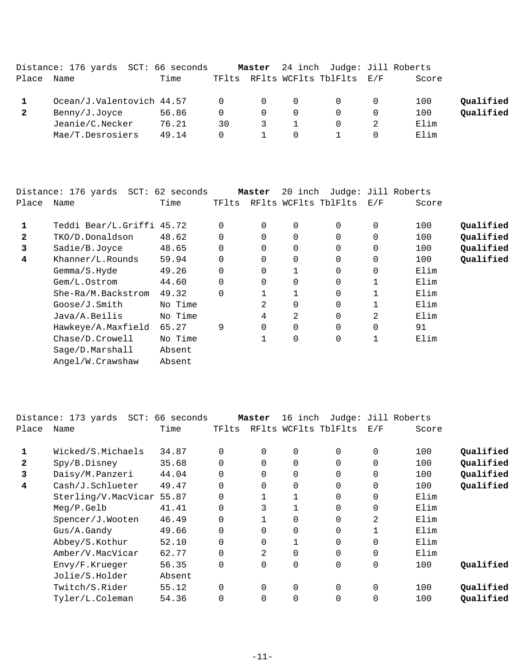|       | Distance: 176 yards SCT: 66 seconds |       |          | Master   |          | 24 inch Judge: Jill Roberts    |       |           |
|-------|-------------------------------------|-------|----------|----------|----------|--------------------------------|-------|-----------|
| Place | Name                                | Time  |          |          |          | TFlts RFlts WCFlts TblFlts E/F | Score |           |
|       | Ocean/J.Valentovich 44.57           |       | $\Omega$ | $\Omega$ | $\Omega$ |                                | 100   | Qualified |
|       | Benny/J.Joyce                       | 56.86 | $\Omega$ | $\Omega$ | $\Omega$ |                                | 100   | Qualified |
|       | Jeanie/C.Necker                     | 76.21 | 30       |          |          |                                | Elim  |           |
|       | Mae/T.Desrosiers                    | 49.14 | $\Omega$ |          | 0        |                                | Elim  |           |

|              | Distance: 176 yards  SCT: 62 seconds |         |          | Master   | 20 inch     |                      |             | Judge: Jill Roberts |           |
|--------------|--------------------------------------|---------|----------|----------|-------------|----------------------|-------------|---------------------|-----------|
| Place        | Name                                 | Time    | TFlts    |          |             | RFlts WCFlts TblFlts | E/F         | Score               |           |
| 1            | Teddi Bear/L.Griffi 45.72            |         | $\Omega$ | 0        | 0           | 0                    | $\mathbf 0$ | 100                 | Qualified |
| $\mathbf{2}$ | TKO/D.Donaldson                      | 48.62   | 0        | $\Omega$ | $\Omega$    | 0                    | $\mathbf 0$ | 100                 | Qualified |
| 3            | Sadie/B.Joyce                        | 48.65   |          | $\Omega$ | $\Omega$    | 0                    | $\mathbf 0$ | 100                 | Qualified |
| 4            | Khanner/L.Rounds                     | 59.94   | $\Omega$ | $\Omega$ | $\Omega$    | 0                    | $\mathbf 0$ | 100                 | Qualified |
|              | Gemma/S.Hyde                         | 49.26   |          | $\Omega$ |             | 0                    | $\mathbf 0$ | Elim                |           |
|              | Gem/L.Ostrom                         | 44.60   | 0        | 0        | 0           | 0                    |             | Elim                |           |
|              | She-Ra/M.Backstrom                   | 49.32   | $\Omega$ |          |             | 0                    |             | Elim                |           |
|              | Goose/J.Smith                        | No Time |          | 2        | 0           | 0                    |             | Elim                |           |
|              | Java/A.Beilis                        | No Time |          | 4        | 2           | 0                    | 2           | Elim                |           |
|              | Hawkeye/A.Maxfield                   | 65.27   | 9        | $\Omega$ | $\Omega$    | 0                    | $\Omega$    | 91                  |           |
|              | Chase/D.Crowell                      | No Time |          |          | $\mathbf 0$ | 0                    |             | Elim                |           |
|              | Sage/D.Marshall                      | Absent  |          |          |             |                      |             |                     |           |
|              | Angel/W.Crawshaw                     | Absent  |          |          |             |                      |             |                     |           |

|       | Distance: 173 yards SCT: | 66 seconds |             | Master   | 16 inch              |          |              | Judge: Jill Roberts |           |
|-------|--------------------------|------------|-------------|----------|----------------------|----------|--------------|---------------------|-----------|
| Place | Name                     | Time       | TFlts       |          | RFlts WCFlts TblFlts |          | E/F          | Score               |           |
|       | Wicked/S.Michaels        | 34.87      | $\Omega$    | $\Omega$ | 0                    | 0        | 0            | 100                 | Qualified |
| 2     | Spy/B.Disney             | 35.68      | $\Omega$    | 0        | 0                    | 0        | $\mathbf 0$  | 100                 | Qualified |
| 3     | Daisy/M.Panzeri          | 44.04      | $\Omega$    | $\Omega$ | $\mathbf 0$          | 0        | $\mathbf 0$  | 100                 | Qualified |
| 4     | Cash/J.Schlueter         | 49.47      | $\Omega$    | $\Omega$ | $\Omega$             | $\Omega$ | $\mathbf 0$  | 100                 | Qualified |
|       | Sterling/V.MacVicar      | 55.87      | $\Omega$    |          |                      | 0        | $\mathbf 0$  | Elim                |           |
|       | Meg/P.Gelb               | 41.41      |             | 3        |                      | 0        | $\mathbf 0$  | Elim                |           |
|       | Spencer/J.Wooten         | 46.49      | $\mathbf 0$ |          | 0                    | 0        | 2            | Elim                |           |
|       | Gus/A.Gandy              | 49.66      | $\Omega$    | $\Omega$ | $\Omega$             | 0        | $\mathbf{1}$ | Elim                |           |
|       | Abbey/S.Kothur           | 52.10      | $\Omega$    | 0        |                      | 0        | $\mathbf 0$  | Elim                |           |
|       | Amber/V.MacVicar         | 62.77      | $\Omega$    | 2        | $\mathbf 0$          | 0        | $\mathbf 0$  | Elim                |           |
|       | Envy/F.Krueger           | 56.35      | 0           | 0        | $\mathbf 0$          | 0        | $\mathbf 0$  | 100                 | Qualified |
|       | Jolie/S.Holder           | Absent     |             |          |                      |          |              |                     |           |
|       | Twitch/S.Rider           | 55.12      | $\Omega$    | $\Omega$ | $\Omega$             | $\Omega$ | $\mathbf 0$  | 100                 | Qualified |
|       | Tyler/L.Coleman          | 54.36      |             | $\Omega$ | 0                    | 0        | 0            | 100                 | Oualified |
|       |                          |            |             |          |                      |          |              |                     |           |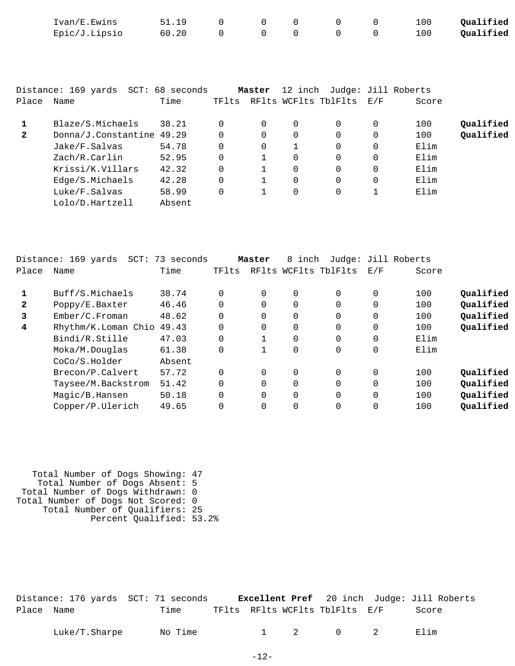|                | Ivan/E.Ewins                        | 51.19  | 0           | 0           | $\Omega$    | <sup>0</sup>         | 0        | 100   | Qualified |
|----------------|-------------------------------------|--------|-------------|-------------|-------------|----------------------|----------|-------|-----------|
|                | Epic/J.Lipsio                       | 60.20  | $\Omega$    | $\mathbf 0$ | $\mathbf 0$ | $\Omega$             | 0        | 100   | Qualified |
|                |                                     |        |             |             |             |                      |          |       |           |
|                |                                     |        |             |             |             |                      |          |       |           |
|                |                                     |        |             |             |             |                      |          |       |           |
|                | Distance: 169 yards SCT: 68 seconds |        |             | Master      | 12 inch     | Judge: Jill Roberts  |          |       |           |
| Place          | Name                                | Time   | TFlts       |             |             | RFlts WCFlts TblFlts | E/F      | Score |           |
| 1              | Blaze/S.Michaels                    | 38.21  | $\mathbf 0$ | 0           | $\mathbf 0$ | $\Omega$             | 0        | 100   | Qualified |
| $\overline{2}$ |                                     |        | $\Omega$    | 0           | $\Omega$    | $\Omega$             | $\Omega$ | 100   | Qualified |
|                | Donna/J.Constantine                 | 49.29  |             |             |             |                      |          |       |           |
|                | Jake/F.Salvas                       | 54.78  | $\Omega$    | 0           | 1           | $\Omega$             | $\Omega$ | Elim  |           |
|                | Zach/R.Carlin                       | 52.95  | $\Omega$    |             | $\mathbf 0$ | $\Omega$             | 0        | Elim  |           |
|                | Krissi/K.Villars                    | 42.32  | 0           | 1           | $\mathbf 0$ | $\Omega$             | 0        | Elim  |           |
|                | Edge/S.Michaels                     | 42.28  | $\Omega$    |             | $\mathbf 0$ | $\Omega$             | $\Omega$ | Elim  |           |
|                | Luke/F.Salvas                       | 58.99  | $\Omega$    |             | $\mathbf 0$ | $\Omega$             |          | Elim  |           |
|                | Lolo/D.Hartzell                     | Absent |             |             |             |                      |          |       |           |

|              | Distance: 169 yards<br>$SCT$ : | 73 seconds |          | Master   | inch<br>8   |                      |             | Judge: Jill Roberts |           |
|--------------|--------------------------------|------------|----------|----------|-------------|----------------------|-------------|---------------------|-----------|
| Place        | Name                           | Time       | TFlts    |          |             | RFlts WCFlts TblFlts | E/F         | Score               |           |
|              | Buff/S.Michaels                | 38.74      | $\Omega$ | $\Omega$ | $\Omega$    | 0                    | 0           | 100                 | Qualified |
| $\mathbf{2}$ | Poppy/E.Baxter                 | 46.46      | $\Omega$ |          | 0           | 0                    | 0           | 100                 | Qualified |
| 3            | Ember/C.Froman                 | 48.62      | $\Omega$ |          | $\Omega$    | 0                    | $\mathbf 0$ | 100                 | Qualified |
| 4            | Rhythm/K.Loman Chio            | 49.43      | $\Omega$ | $\Omega$ | $\Omega$    | 0                    | $\mathbf 0$ | 100                 | Qualified |
|              | Bindi/R.Stille                 | 47.03      | $\Omega$ |          | $\Omega$    | 0                    | $\mathbf 0$ | Elim                |           |
|              | Moka/M.Douglas                 | 61.38      | 0        |          | $\mathbf 0$ | 0                    | $\mathbf 0$ | Elim                |           |
|              | CoCo/S.Holder                  | Absent     |          |          |             |                      |             |                     |           |
|              | Brecon/P.Calvert               | 57.72      | $\Omega$ | $\Omega$ | $\Omega$    | $\Omega$             | 0           | 100                 | Qualified |
|              | Taysee/M.Backstrom             | 51.42      | $\Omega$ |          | $\Omega$    | 0                    | $\mathbf 0$ | 100                 | Qualified |
|              | Magic/B.Hansen                 | 50.18      | $\Omega$ |          | $\Omega$    | 0                    | $\mathbf 0$ | 100                 | Qualified |
|              | Copper/P.Ulerich               | 49.65      | 0        |          | 0           | 0                    | $\mathbf 0$ | 100                 | Qualified |

 Total Number of Dogs Showing: 47 Total Number of Dogs Absent: 5 Total Number of Dogs Withdrawn: 0 Total Number of Dogs Not Scored: 0 Total Number of Qualifiers: 25 Percent Qualified: 53.2%

|            | Distance: 176 yards SCT: 71 seconds |                                | <b>Excellent Pref</b> 20 inch Judge: Jill Roberts |
|------------|-------------------------------------|--------------------------------|---------------------------------------------------|
| Place Name | Time                                | TFlts RFlts WCFlts TblFlts E/F | Score                                             |

| $\sqrt{m}$<br>Luke/T.Sharpe<br>Νo | 'ıme |  |  |  |  |  | ∃⊥ım<br><br>п. |  |
|-----------------------------------|------|--|--|--|--|--|----------------|--|
|-----------------------------------|------|--|--|--|--|--|----------------|--|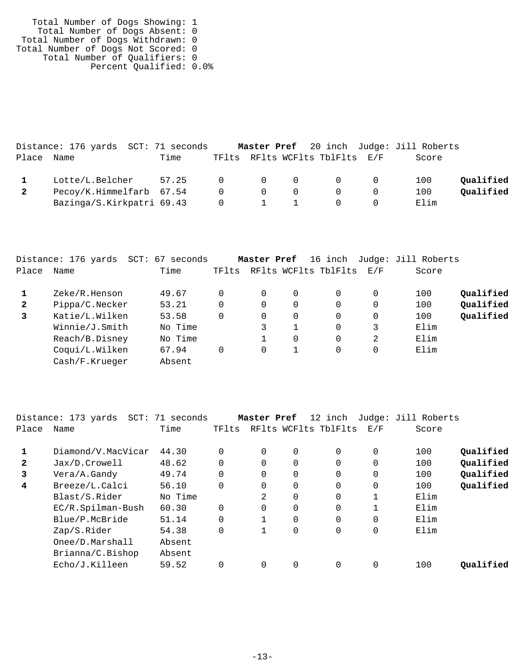| Total Number of Dogs Showing: 1    |  |
|------------------------------------|--|
| Total Number of Dogs Absent: 0     |  |
| Total Number of Dogs Withdrawn: 0  |  |
| Total Number of Dogs Not Scored: 0 |  |
| Total Number of Qualifiers: 0      |  |
| Percent Qualified: 0.0%            |  |

|       | Distance: 176 yards SCT: 71 seconds |                 |                                              |                |                                 | Master Pref 20 inch Judge: Jill Roberts |           |
|-------|-------------------------------------|-----------------|----------------------------------------------|----------------|---------------------------------|-----------------------------------------|-----------|
| Place | Name                                | Time            |                                              |                | TFlts RFlts WCFlts TblFlts E/F  | Score                                   |           |
|       | Lotte/L.Belcher                     | 57.25 0 0 0 0 0 |                                              |                |                                 | 100                                     | Oualified |
|       | Pecoy/K.Himmelfarb 67.54            |                 | $\begin{matrix} 0 & 0 \end{matrix}$          | $\overline{0}$ | $\begin{matrix}0&0\end{matrix}$ | 100                                     | Oualified |
|       | Bazinga/S.Kirkpatri 69.43           |                 | $\begin{array}{ccc} & & 0 & & 1 \end{array}$ |                | $\overline{0}$                  | Elim                                    |           |

|       | Distance: 176 yards<br>SCT: | 67<br>seconds |       | Master Pref |   | 16 inch                  |   | Judge: Jill Roberts |           |
|-------|-----------------------------|---------------|-------|-------------|---|--------------------------|---|---------------------|-----------|
| Place | Name                        | Time          | TFlts |             |   | RFlts WCFlts TblFlts E/F |   | Score               |           |
|       | Zeke/R.Henson               | 49.67         |       | $\Omega$    | 0 | 0                        | 0 | 100                 | Oualified |
| 2     | Pippa/C.Necker              | 53.21         |       | $\Omega$    |   | 0                        | 0 | 100                 | Oualified |
| 3     | Katie/L.Wilken              | 53.58         |       | $\Omega$    | 0 | $\Omega$                 | 0 | 100                 | Qualified |
|       | Winnie/J.Smith              | No Time       |       |             |   | $\Omega$                 | 3 | Elim                |           |
|       | Reach/B.Disney              | No Time       |       |             | 0 | $\Omega$                 | 2 | Elim                |           |
|       | Coqui/L.Wilken              | 67.94         |       | 0           |   | 0                        | 0 | Elim                |           |
|       | Cash/F.Krueger              | Absent        |       |             |   |                          |   |                     |           |

|              | Distance: 173 yards | SCT: 71 seconds |          | Master Pref |             | 12 inch              |             | Judge: Jill Roberts |           |
|--------------|---------------------|-----------------|----------|-------------|-------------|----------------------|-------------|---------------------|-----------|
| Place        | Name                | Time            | TFlts    |             |             | RFlts WCFlts TblFlts | E/F         | Score               |           |
|              | Diamond/V.MacVicar  | 44.30           |          | $\Omega$    | $\Omega$    | $\Omega$             | $\Omega$    | 100                 | Qualified |
| $\mathbf{2}$ | Jax/D.Crowell       | 48.62           |          | 0           | $\mathbf 0$ | 0                    | $\mathbf 0$ | 100                 | Qualified |
| 3            | Vera/A.Gandy        | 49.74           |          | $\Omega$    | $\Omega$    | $\Omega$             | $\Omega$    | 100                 | Qualified |
| 4            | Breeze/L.Calci      | 56.10           | $\Omega$ | $\Omega$    | $\mathbf 0$ | $\Omega$             | $\mathbf 0$ | 100                 | Qualified |
|              | Blast/S.Rider       | No Time         |          | 2           | 0           | 0                    | 1           | Elim                |           |
|              | EC/R.Spilman-Bush   | 60.30           |          | $\Omega$    | $\Omega$    | $\Omega$             | 1           | Elim                |           |
|              | Blue/P.McBride      | 51.14           |          |             | $\Omega$    | $\Omega$             | $\Omega$    | Elim                |           |
|              | Zap/S.Rider         | 54.38           |          |             | 0           | 0                    | 0           | Elim                |           |
|              | Onee/D.Marshall     | Absent          |          |             |             |                      |             |                     |           |
|              | Brianna/C.Bishop    | Absent          |          |             |             |                      |             |                     |           |
|              | Echo/J.Killeen      | 59.52           |          | $\Omega$    | 0           | 0                    | 0           | 100                 | Oualified |
|              |                     |                 |          |             |             |                      |             |                     |           |